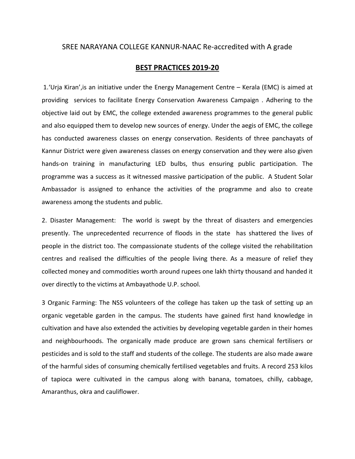## SREE NARAYANA COLLEGE KANNUR-NAAC Re-accredited with A grade

## BEST PRACTICES 2019-20

 1.'Urja Kiran',is an initiative under the Energy Management Centre – Kerala (EMC) is aimed at providing services to facilitate Energy Conservation Awareness Campaign . Adhering to the objective laid out by EMC, the college extended awareness programmes to the general public and also equipped them to develop new sources of energy. Under the aegis of EMC, the college has conducted awareness classes on energy conservation. Residents of three panchayats of Kannur District were given awareness classes on energy conservation and they were also given hands-on training in manufacturing LED bulbs, thus ensuring public participation. The programme was a success as it witnessed massive participation of the public. A Student Solar Ambassador is assigned to enhance the activities of the programme and also to create awareness among the students and public.

2. Disaster Management: The world is swept by the threat of disasters and emergencies presently. The unprecedented recurrence of floods in the state has shattered the lives of people in the district too. The compassionate students of the college visited the rehabilitation centres and realised the difficulties of the people living there. As a measure of relief they collected money and commodities worth around rupees one lakh thirty thousand and handed it over directly to the victims at Ambayathode U.P. school.

3 Organic Farming: The NSS volunteers of the college has taken up the task of setting up an organic vegetable garden in the campus. The students have gained first hand knowledge in cultivation and have also extended the activities by developing vegetable garden in their homes and neighbourhoods. The organically made produce are grown sans chemical fertilisers or pesticides and is sold to the staff and students of the college. The students are also made aware of the harmful sides of consuming chemically fertilised vegetables and fruits. A record 253 kilos of tapioca were cultivated in the campus along with banana, tomatoes, chilly, cabbage, Amaranthus, okra and cauliflower.